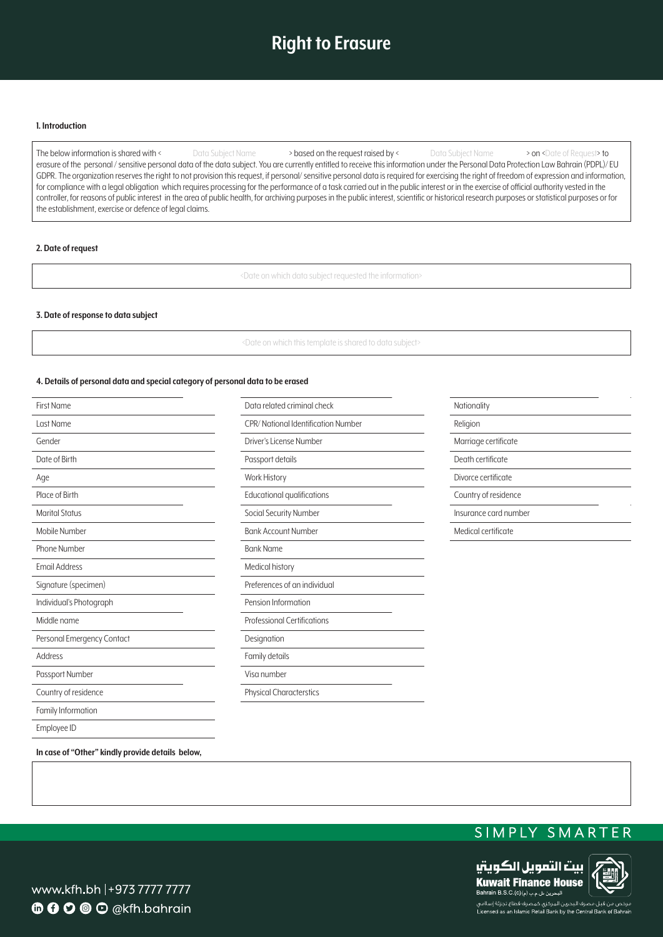# **Right to Erasure**

### **Introduction 1.**

The below information is shared with < Data Subject Name > based on the request raised by < www. Data Subject Name > on <Date of Request> to erasure of the personal / sensitive personal data of the data subject. You are currently entitled to receive this information under the Personal Data Protection Law Bahrain (PDPL)/ EU GDPR. The organization reserves the right to not provision this request, if personal/sensitive personal data is required for exercising the right of freedom of expression and information, for compliance with a legal obligation which requires processing for the performance of a task carried out in the public interest or in the exercise of official authority vested in the controller, for reasons of public interest in the area of public health, for archiving purposes in the public interest, scientific or historical research purposes or statistical purposes or for the establishment, exercise or defence of legal claims.

### **2.** Date of request

<Date on which data subject requested the information>

### **3. Date of response to data subject**

<Date on which this template is shared to data subject>

### 4. Details of personal data and special category of personal data to be erased

| <b>First Name</b>          | Data related criminal check        | Nationality           |
|----------------------------|------------------------------------|-----------------------|
| Last Name                  | CPR/National Identification Number | Religion              |
| Gender                     | Driver's License Number            | Marriage certificate  |
| Date of Birth              | Passport details                   | Death certificate     |
| Age                        | Work History                       | Divorce certificate   |
| Place of Birth             | Educational qualifications         | Country of residence  |
| <b>Marital Status</b>      | Social Security Number             | Insurance card number |
| Mobile Number              | <b>Bank Account Number</b>         | Medical certificate   |
| Phone Number               | <b>Bank Name</b>                   |                       |
| Email Address              | Medical history                    |                       |
| Signature (specimen)       | Preferences of an individual       |                       |
| Individual's Photograph    | Pension Information                |                       |
| Middle name                | <b>Professional Certifications</b> |                       |
| Personal Emergency Contact | Designation                        |                       |
| Address                    | Family details                     |                       |
| Passport Number            | Visa number                        |                       |
| Country of residence       | <b>Physical Characterstics</b>     |                       |
| Family Information         |                                    |                       |
| Employee ID                |                                    |                       |

### In case of "Other" kindly provide details below,

## SIMPLY SMARTER



www.kfh.bh |+973 7777 7777 **6000** O @kfh.bahrain